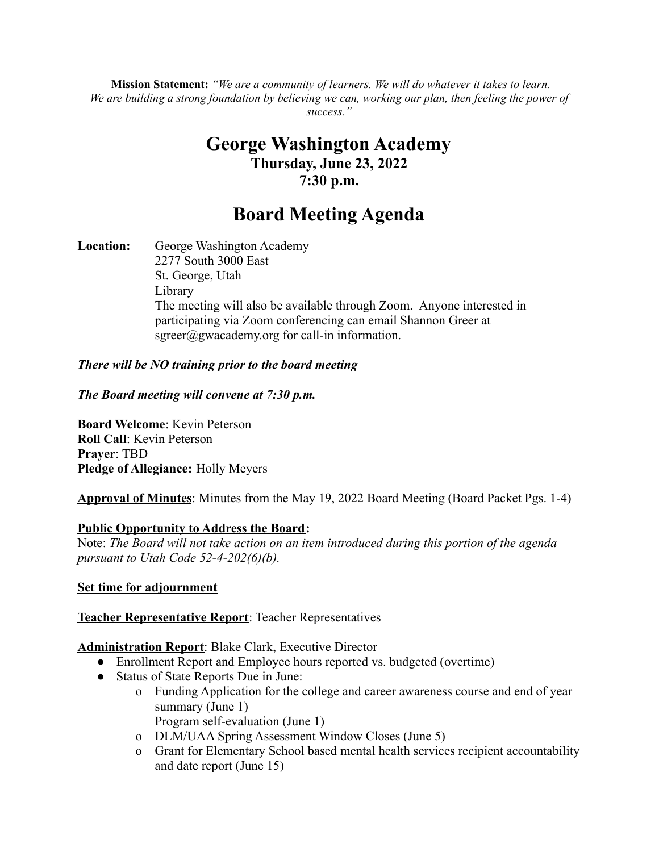**Mission Statement:** *"We are a community of learners. We will do whatever it takes to learn.* We are building a strong foundation by believing we can, working our plan, then feeling the power of *success."*

# **George Washington Academy Thursday, June 23, 2022 7:30 p.m.**

# **Board Meeting Agenda**

**Location:** George Washington Academy 2277 South 3000 East St. George, Utah Library The meeting will also be available through Zoom. Anyone interested in participating via Zoom conferencing can email Shannon Greer at  $sgreen(\hat{a})$ gwacademy.org for call-in information.

### *There will be NO training prior to the board meeting*

#### *The Board meeting will convene at 7:30 p.m.*

**Board Welcome**: Kevin Peterson **Roll Call**: Kevin Peterson **Prayer**: TBD **Pledge of Allegiance:** Holly Meyers

**Approval of Minutes**: Minutes from the May 19, 2022 Board Meeting (Board Packet Pgs. 1-4)

### **Public Opportunity to Address the Board:**

Note: *The Board will not take action on an item introduced during this portion of the agenda pursuant to Utah Code 52-4-202(6)(b).*

#### **Set time for adjournment**

### **Teacher Representative Report**: Teacher Representatives

### **Administration Report**: Blake Clark, Executive Director

- Enrollment Report and Employee hours reported vs. budgeted (overtime)
- Status of State Reports Due in June:
	- o Funding Application for the college and career awareness course and end of year summary (June 1) Program self-evaluation (June 1)
	- o DLM/UAA Spring Assessment Window Closes (June 5)
	- o Grant for Elementary School based mental health services recipient accountability and date report (June 15)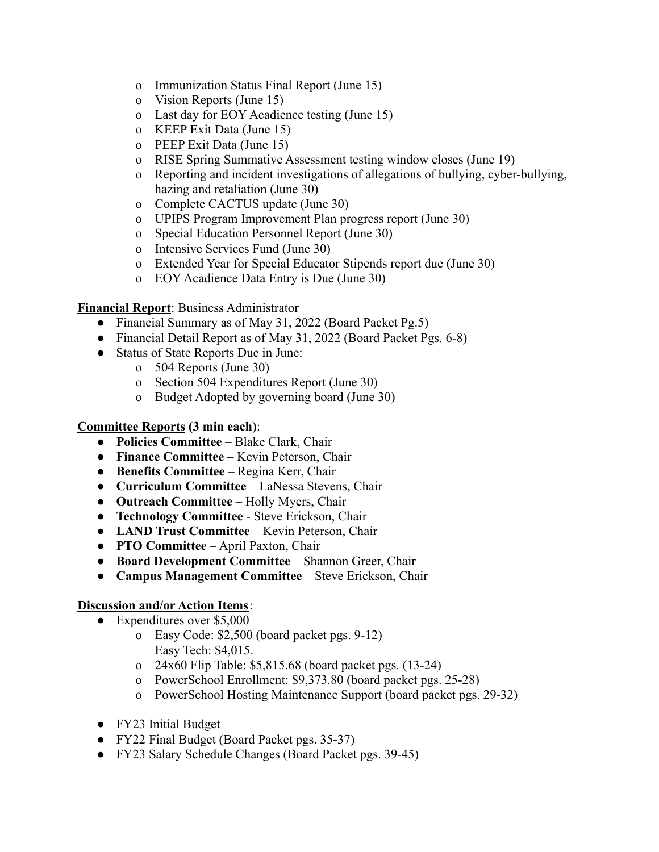- o Immunization Status Final Report (June 15)
- o Vision Reports (June 15)
- o Last day for EOY Acadience testing (June 15)
- o KEEP Exit Data (June 15)
- o PEEP Exit Data (June 15)
- o RISE Spring Summative Assessment testing window closes (June 19)
- o Reporting and incident investigations of allegations of bullying, cyber-bullying, hazing and retaliation (June 30)
- o Complete CACTUS update (June 30)
- o UPIPS Program Improvement Plan progress report (June 30)
- o Special Education Personnel Report (June 30)
- o Intensive Services Fund (June 30)
- o Extended Year for Special Educator Stipends report due (June 30)
- o EOY Acadience Data Entry is Due (June 30)

**Financial Report**: Business Administrator

- Financial Summary as of May 31, 2022 (Board Packet Pg.5)
- Financial Detail Report as of May 31, 2022 (Board Packet Pgs. 6-8)
- Status of State Reports Due in June:
	- o 504 Reports (June 30)
	- o Section 504 Expenditures Report (June 30)
	- o Budget Adopted by governing board (June 30)

#### **Committee Reports (3 min each)**:

- **● Policies Committee** Blake Clark, Chair
- **Finance Committee –** Kevin Peterson, Chair
- **Benefits Committee** Regina Kerr, Chair
- **Curriculum Committee** LaNessa Stevens, Chair
- **● Outreach Committee** Holly Myers, Chair
- **● Technology Committee** Steve Erickson, Chair
- **● LAND Trust Committee** Kevin Peterson, Chair
- **● PTO Committee** April Paxton, Chair
- **● Board Development Committee** Shannon Greer, Chair
- **● Campus Management Committee** Steve Erickson, Chair

# **Discussion and/or Action Items**:

- Expenditures over \$5,000
	- o Easy Code: \$2,500 (board packet pgs. 9-12) Easy Tech: \$4,015.
	- o 24x60 Flip Table: \$5,815.68 (board packet pgs. (13-24)
	- o PowerSchool Enrollment: \$9,373.80 (board packet pgs. 25-28)
	- o PowerSchool Hosting Maintenance Support (board packet pgs. 29-32)
- FY23 Initial Budget
- FY22 Final Budget (Board Packet pgs. 35-37)
- FY23 Salary Schedule Changes (Board Packet pgs. 39-45)